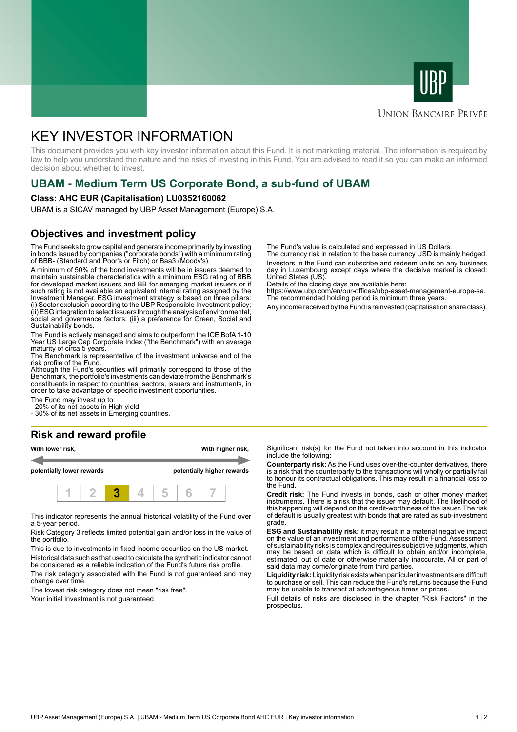



#### **UNION BANCAIRE PRIVÉE**

# KEY INVESTOR INFORMATION

This document provides you with key investor information about this Fund. It is not marketing material. The information is required by law to help you understand the nature and the risks of investing in this Fund. You are advised to read it so you can make an informed decision about whether to invest.

# **UBAM - Medium Term US Corporate Bond, a sub-fund of UBAM**

#### **Class: AHC EUR (Capitalisation) LU0352160062**

UBAM is a SICAV managed by UBP Asset Management (Europe) S.A.

#### **Objectives and investment policy**

The Fund seeks to grow capital and generate income primarily by investing in bonds issued by companies ("corporate bonds") with a minimum rating of BBB- (Standard and Poor's or Fitch) or Baa3 (Moody's).

A minimum of 50% of the bond investments will be in issuers deemed to maintain sustainable characteristics with a minimum ESG rating of BBB for developed market issuers and BB for emerging market issuers or if such rating is not available an equivalent internal rating assigned by the Investment Manager. ESG investment strategy is based on three pillars: (i) Sector exclusion according to the UBP Responsible Investment policy; (ii) ESG integration to select issuers through the analysis of environmental, social and governance factors; (iii) a preference for Green, Social and Sustainability bonds.

The Fund is actively managed and aims to outperform the ICE BofA 1-10 Year US Large Cap Corporate Index ("the Benchmark") with an average maturity of circa 5 years.

The Benchmark is representative of the investment universe and of the risk profile of the Fund.

Although the Fund's securities will primarily correspond to those of the Benchmark, the portfolio's investments can deviate from the Benchmark's constituents in respect to countries, sectors, issuers and instruments, in order to take advantage of specific investment opportunities.

The Fund may invest up to:

20% of its net assets in High yield

- 30% of its net assets in Emerging countries.

## **Risk and reward profile**

| With lower risk,          |  |  |  |                            | With higher risk, |  |  |  |
|---------------------------|--|--|--|----------------------------|-------------------|--|--|--|
| potentially lower rewards |  |  |  | potentially higher rewards |                   |  |  |  |
|                           |  |  |  |                            |                   |  |  |  |

This indicator represents the annual historical volatility of the Fund over a 5-year period.

Risk Category 3 reflects limited potential gain and/or loss in the value of the portfolio.

This is due to investments in fixed income securities on the US market. Historical data such as that used to calculate the synthetic indicator cannot

be considered as a reliable indication of the Fund's future risk profile. The risk category associated with the Fund is not guaranteed and may change over time.

The lowest risk category does not mean "risk free".

Your initial investment is not guaranteed.

The Fund's value is calculated and expressed in US Dollars.

The currency risk in relation to the base currency USD is mainly hedged. Investors in the Fund can subscribe and redeem units on any business day in Luxembourg except days where the decisive market is closed: United States (US).

Details of the closing days are available here:

https://www.ubp.com/en/our-offices/ubp-asset-management-europe-sa. The recommended holding period is minimum three years.

Any income received by the Fund is reinvested (capitalisation share class).

Significant risk(s) for the Fund not taken into account in this indicator include the following:

**Counterparty risk:** As the Fund uses over-the-counter derivatives, there is a risk that the counterparty to the transactions will wholly or partially fail to honour its contractual obligations. This may result in a financial loss to the Fund.

**Credit risk:** The Fund invests in bonds, cash or other money market instruments. There is a risk that the issuer may default. The likelihood of this happening will depend on the credit-worthiness of the issuer. The risk of default is usually greatest with bonds that are rated as sub-investment grade.

**ESG and Sustainability risk:** it may result in a material negative impact on the value of an investment and performance of the Fund. Assessment of sustainability risks is complex and requires subjective judgments, which may be based on data which is difficult to obtain and/or incomplete, estimated, out of date or otherwise materially inaccurate. All or part of said data may come/originate from third parties.

**Liquidity risk:** Liquidity risk exists when particular investments are difficult to purchase or sell. This can reduce the Fund's returns because the Fund may be unable to transact at advantageous times or prices.

Full details of risks are disclosed in the chapter "Risk Factors" in the prospectus.